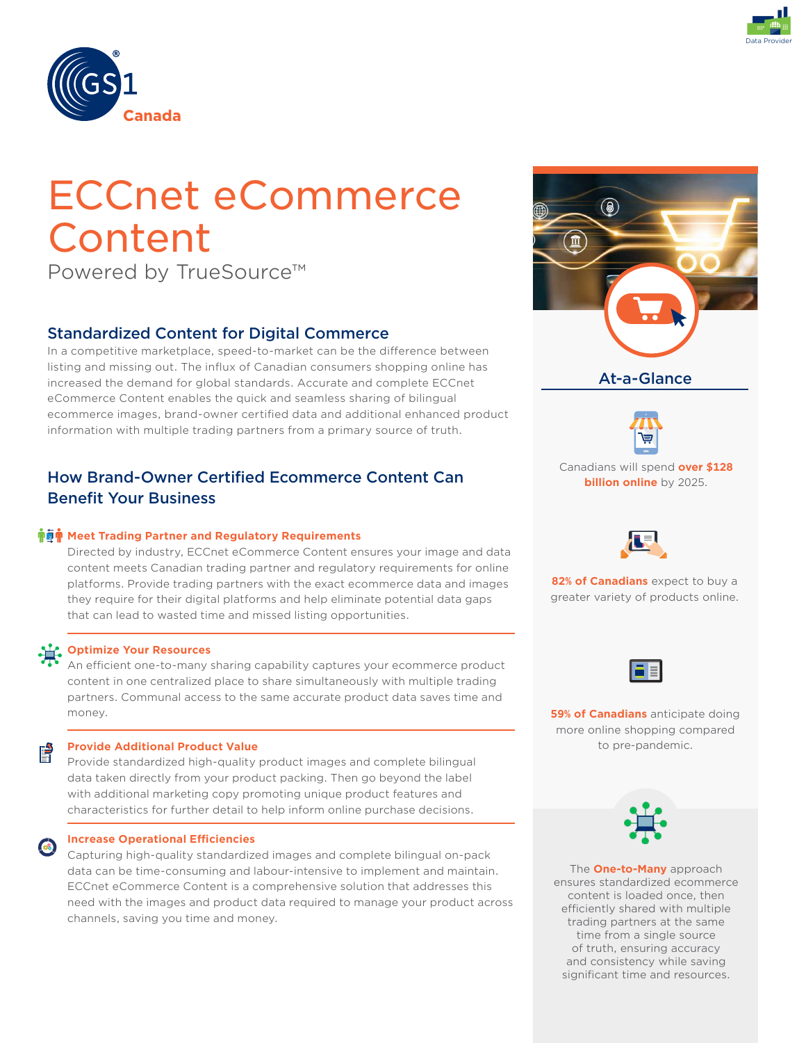



# ECCnet eCommerce Content

Powered by TrueSource™

# Standardized Content for Digital Commerce

In a competitive marketplace, speed-to-market can be the difference between listing and missing out. The influx of Canadian consumers shopping online has increased the demand for global standards. Accurate and complete ECCnet eCommerce Content enables the quick and seamless sharing of bilingual ecommerce images, brand-owner certified data and additional enhanced product information with multiple trading partners from a primary source of truth.

# How Brand-Owner Certified Ecommerce Content Can Benefit Your Business

## **Memeral Trading Partner and Regulatory Requirements**

Directed by industry, ECCnet eCommerce Content ensures your image and data content meets Canadian trading partner and regulatory requirements for online platforms. Provide trading partners with the exact ecommerce data and images they require for their digital platforms and help eliminate potential data gaps that can lead to wasted time and missed listing opportunities.

#### **Optimize Your Resources**

An efficient one-to-many sharing capability captures your ecommerce product content in one centralized place to share simultaneously with multiple trading partners. Communal access to the same accurate product data saves time and money.

#### **Provide Additional Product Value**  P

Provide standardized high-quality product images and complete bilingual data taken directly from your product packing. Then go beyond the label with additional marketing copy promoting unique product features and characteristics for further detail to help inform online purchase decisions.

#### **Increase Operational Efficiencies**

Capturing high-quality standardized images and complete bilingual on-pack data can be time-consuming and labour-intensive to implement and maintain. ECCnet eCommerce Content is a comprehensive solution that addresses this need with the images and product data required to manage your product across channels, saving you time and money.







**82% of Canadians** expect to buy a greater variety of products online.



**59% of Canadians** anticipate doing more online shopping compared to pre-pandemic.

The **One-to-Many** approach ensures standardized ecommerce content is loaded once, then efficiently shared with multiple trading partners at the same time from a single source of truth, ensuring accuracy and consistency while saving significant time and resources.